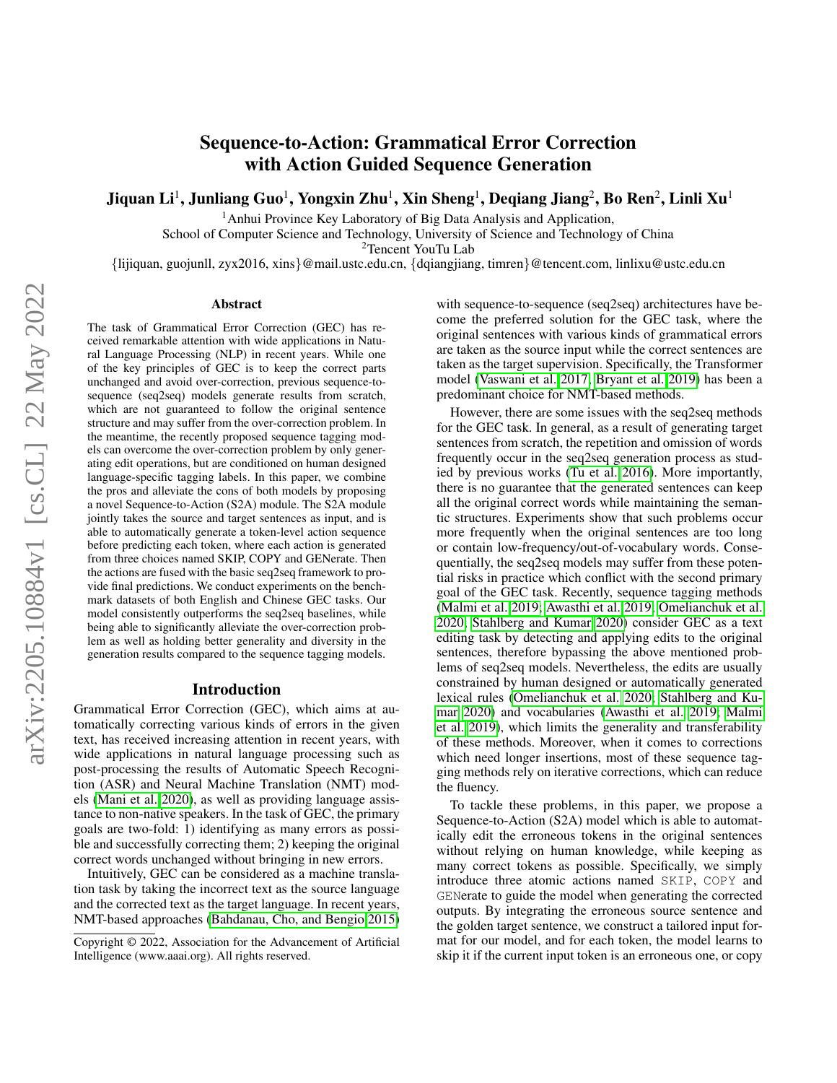# Sequence-to-Action: Grammatical Error Correction with Action Guided Sequence Generation

Jiquan Li $^1$ , Junliang Guo $^1$ , Yongxin Zhu $^1$ , Xin Sheng $^1$ , Deqiang Jiang $^2$ , Bo Ren $^2$ , Linli Xu $^1$ 

<sup>1</sup> Anhui Province Key Laboratory of Big Data Analysis and Application, School of Computer Science and Technology, University of Science and Technology of China

<sup>2</sup>Tencent YouTu Lab

{lijiquan, guojunll, zyx2016, xins}@mail.ustc.edu.cn, {dqiangjiang, timren}@tencent.com, linlixu@ustc.edu.cn

#### Abstract

The task of Grammatical Error Correction (GEC) has received remarkable attention with wide applications in Natural Language Processing (NLP) in recent years. While one of the key principles of GEC is to keep the correct parts unchanged and avoid over-correction, previous sequence-tosequence (seq2seq) models generate results from scratch, which are not guaranteed to follow the original sentence structure and may suffer from the over-correction problem. In the meantime, the recently proposed sequence tagging models can overcome the over-correction problem by only generating edit operations, but are conditioned on human designed language-specific tagging labels. In this paper, we combine the pros and alleviate the cons of both models by proposing a novel Sequence-to-Action (S2A) module. The S2A module jointly takes the source and target sentences as input, and is able to automatically generate a token-level action sequence before predicting each token, where each action is generated from three choices named SKIP, COPY and GENerate. Then the actions are fused with the basic seq2seq framework to provide final predictions. We conduct experiments on the benchmark datasets of both English and Chinese GEC tasks. Our model consistently outperforms the seq2seq baselines, while being able to significantly alleviate the over-correction problem as well as holding better generality and diversity in the generation results compared to the sequence tagging models.

#### Introduction

Grammatical Error Correction (GEC), which aims at automatically correcting various kinds of errors in the given text, has received increasing attention in recent years, with wide applications in natural language processing such as post-processing the results of Automatic Speech Recognition (ASR) and Neural Machine Translation (NMT) models [\(Mani et al. 2020\)](#page-7-0), as well as providing language assistance to non-native speakers. In the task of GEC, the primary goals are two-fold: 1) identifying as many errors as possible and successfully correcting them; 2) keeping the original correct words unchanged without bringing in new errors.

Intuitively, GEC can be considered as a machine translation task by taking the incorrect text as the source language and the corrected text as the target language. In recent years, NMT-based approaches [\(Bahdanau, Cho, and Bengio 2015\)](#page-7-1)

with sequence-to-sequence (seq2seq) architectures have become the preferred solution for the GEC task, where the original sentences with various kinds of grammatical errors are taken as the source input while the correct sentences are taken as the target supervision. Specifically, the Transformer model [\(Vaswani et al. 2017;](#page-8-0) [Bryant et al. 2019\)](#page-7-2) has been a predominant choice for NMT-based methods.

However, there are some issues with the seq2seq methods for the GEC task. In general, as a result of generating target sentences from scratch, the repetition and omission of words frequently occur in the seq2seq generation process as studied by previous works [\(Tu et al. 2016\)](#page-8-1). More importantly, there is no guarantee that the generated sentences can keep all the original correct words while maintaining the semantic structures. Experiments show that such problems occur more frequently when the original sentences are too long or contain low-frequency/out-of-vocabulary words. Consequentially, the seq2seq models may suffer from these potential risks in practice which conflict with the second primary goal of the GEC task. Recently, sequence tagging methods [\(Malmi et al. 2019;](#page-7-3) [Awasthi et al. 2019;](#page-7-4) [Omelianchuk et al.](#page-8-2) [2020;](#page-8-2) [Stahlberg and Kumar 2020\)](#page-8-3) consider GEC as a text editing task by detecting and applying edits to the original sentences, therefore bypassing the above mentioned problems of seq2seq models. Nevertheless, the edits are usually constrained by human designed or automatically generated lexical rules [\(Omelianchuk et al. 2020;](#page-8-2) [Stahlberg and Ku](#page-8-3)[mar 2020\)](#page-8-3) and vocabularies [\(Awasthi et al. 2019;](#page-7-4) [Malmi](#page-7-3) [et al. 2019\)](#page-7-3), which limits the generality and transferability of these methods. Moreover, when it comes to corrections which need longer insertions, most of these sequence tagging methods rely on iterative corrections, which can reduce the fluency.

To tackle these problems, in this paper, we propose a Sequence-to-Action (S2A) model which is able to automatically edit the erroneous tokens in the original sentences without relying on human knowledge, while keeping as many correct tokens as possible. Specifically, we simply introduce three atomic actions named SKIP, COPY and GENerate to guide the model when generating the corrected outputs. By integrating the erroneous source sentence and the golden target sentence, we construct a tailored input format for our model, and for each token, the model learns to skip it if the current input token is an erroneous one, or copy

Copyright © 2022, Association for the Advancement of Artificial Intelligence (www.aaai.org). All rights reserved.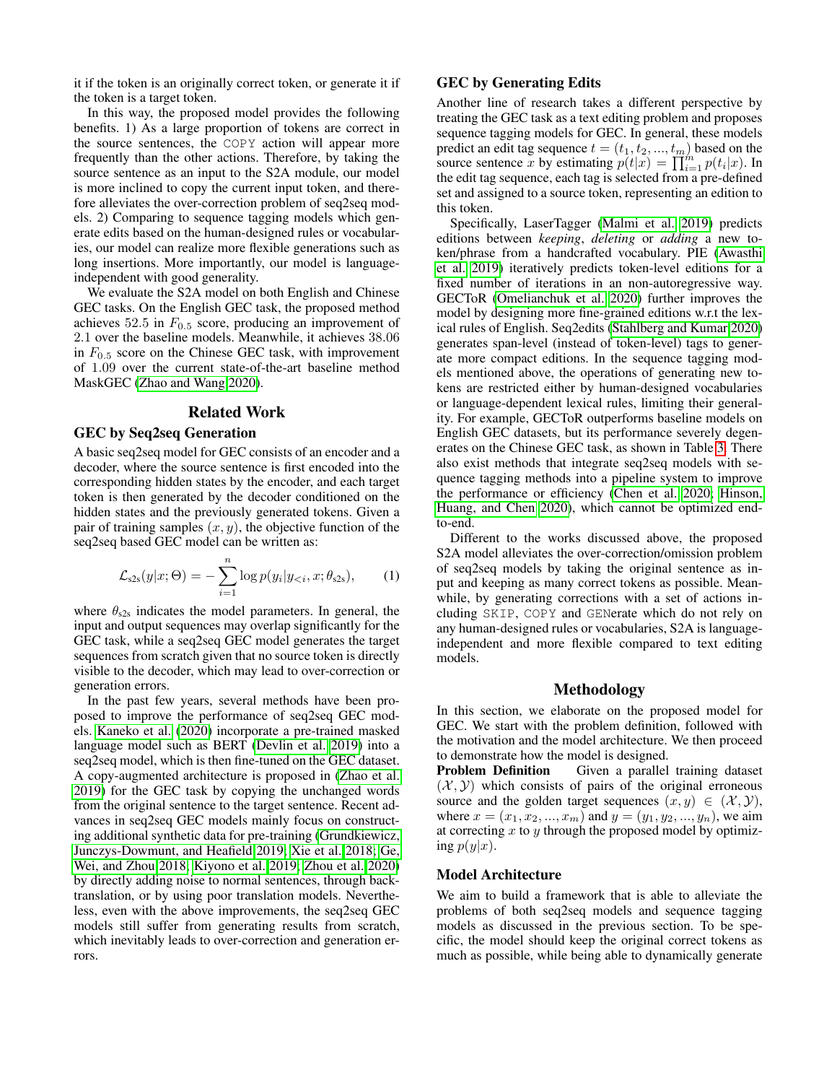it if the token is an originally correct token, or generate it if the token is a target token.

In this way, the proposed model provides the following benefits. 1) As a large proportion of tokens are correct in the source sentences, the COPY action will appear more frequently than the other actions. Therefore, by taking the source sentence as an input to the S2A module, our model is more inclined to copy the current input token, and therefore alleviates the over-correction problem of seq2seq models. 2) Comparing to sequence tagging models which generate edits based on the human-designed rules or vocabularies, our model can realize more flexible generations such as long insertions. More importantly, our model is languageindependent with good generality.

We evaluate the S2A model on both English and Chinese GEC tasks. On the English GEC task, the proposed method achieves  $52.5$  in  $F_{0.5}$  score, producing an improvement of 2.1 over the baseline models. Meanwhile, it achieves 38.06 in  $F_{0.5}$  score on the Chinese GEC task, with improvement of 1.09 over the current state-of-the-art baseline method MaskGEC [\(Zhao and Wang 2020\)](#page-8-4).

# Related Work

#### GEC by Seq2seq Generation

A basic seq2seq model for GEC consists of an encoder and a decoder, where the source sentence is first encoded into the corresponding hidden states by the encoder, and each target token is then generated by the decoder conditioned on the hidden states and the previously generated tokens. Given a pair of training samples  $(x, y)$ , the objective function of the seq2seq based GEC model can be written as:

<span id="page-1-0"></span>
$$
\mathcal{L}_{s2s}(y|x;\Theta) = -\sum_{i=1}^{n} \log p(y_i|y_{< i}, x; \theta_{s2s}), \quad (1)
$$

where  $\theta_{s2s}$  indicates the model parameters. In general, the input and output sequences may overlap significantly for the GEC task, while a seq2seq GEC model generates the target sequences from scratch given that no source token is directly visible to the decoder, which may lead to over-correction or generation errors.

In the past few years, several methods have been proposed to improve the performance of seq2seq GEC models. [Kaneko et al.](#page-7-5) [\(2020\)](#page-7-5) incorporate a pre-trained masked language model such as BERT [\(Devlin et al. 2019\)](#page-7-6) into a seq2seq model, which is then fine-tuned on the GEC dataset. A copy-augmented architecture is proposed in [\(Zhao et al.](#page-8-5) [2019\)](#page-8-5) for the GEC task by copying the unchanged words from the original sentence to the target sentence. Recent advances in seq2seq GEC models mainly focus on constructing additional synthetic data for pre-training [\(Grundkiewicz,](#page-7-7) [Junczys-Dowmunt, and Heafield 2019;](#page-7-7) [Xie et al. 2018;](#page-8-6) [Ge,](#page-7-8) [Wei, and Zhou 2018;](#page-7-8) [Kiyono et al. 2019;](#page-7-9) [Zhou et al. 2020\)](#page-8-7) by directly adding noise to normal sentences, through backtranslation, or by using poor translation models. Nevertheless, even with the above improvements, the seq2seq GEC models still suffer from generating results from scratch, which inevitably leads to over-correction and generation errors.

# GEC by Generating Edits

Another line of research takes a different perspective by treating the GEC task as a text editing problem and proposes sequence tagging models for GEC. In general, these models predict an edit tag sequence  $t = (t_1, t_2, ..., t_m)$  based on the source sentence x by estimating  $p(t|x) = \prod_{i=1}^{m} p(t_i|x)$ . In the edit tag sequence, each tag is selected from a pre-defined set and assigned to a source token, representing an edition to this token.

Specifically, LaserTagger [\(Malmi et al. 2019\)](#page-7-3) predicts editions between *keeping*, *deleting* or *adding* a new token/phrase from a handcrafted vocabulary. PIE [\(Awasthi](#page-7-4) [et al. 2019\)](#page-7-4) iteratively predicts token-level editions for a fixed number of iterations in an non-autoregressive way. GECToR [\(Omelianchuk et al. 2020\)](#page-8-2) further improves the model by designing more fine-grained editions w.r.t the lexical rules of English. Seq2edits [\(Stahlberg and Kumar 2020\)](#page-8-3) generates span-level (instead of token-level) tags to generate more compact editions. In the sequence tagging models mentioned above, the operations of generating new tokens are restricted either by human-designed vocabularies or language-dependent lexical rules, limiting their generality. For example, GECToR outperforms baseline models on English GEC datasets, but its performance severely degenerates on the Chinese GEC task, as shown in Table [3.](#page-5-0) There also exist methods that integrate seq2seq models with sequence tagging methods into a pipeline system to improve the performance or efficiency [\(Chen et al. 2020;](#page-7-10) [Hinson,](#page-7-11) [Huang, and Chen 2020\)](#page-7-11), which cannot be optimized endto-end.

Different to the works discussed above, the proposed S2A model alleviates the over-correction/omission problem of seq2seq models by taking the original sentence as input and keeping as many correct tokens as possible. Meanwhile, by generating corrections with a set of actions including SKIP, COPY and GENerate which do not rely on any human-designed rules or vocabularies, S2A is languageindependent and more flexible compared to text editing models.

### Methodology

In this section, we elaborate on the proposed model for GEC. We start with the problem definition, followed with the motivation and the model architecture. We then proceed to demonstrate how the model is designed.

**Problem Definition** Given a parallel training dataset  $(X, Y)$  which consists of pairs of the original erroneous source and the golden target sequences  $(x, y) \in (\mathcal{X}, \mathcal{Y})$ , where  $x = (x_1, x_2, ..., x_m)$  and  $y = (y_1, y_2, ..., y_n)$ , we aim at correcting  $x$  to  $y$  through the proposed model by optimizing  $p(y|x)$ .

### Model Architecture

We aim to build a framework that is able to alleviate the problems of both seq2seq models and sequence tagging models as discussed in the previous section. To be specific, the model should keep the original correct tokens as much as possible, while being able to dynamically generate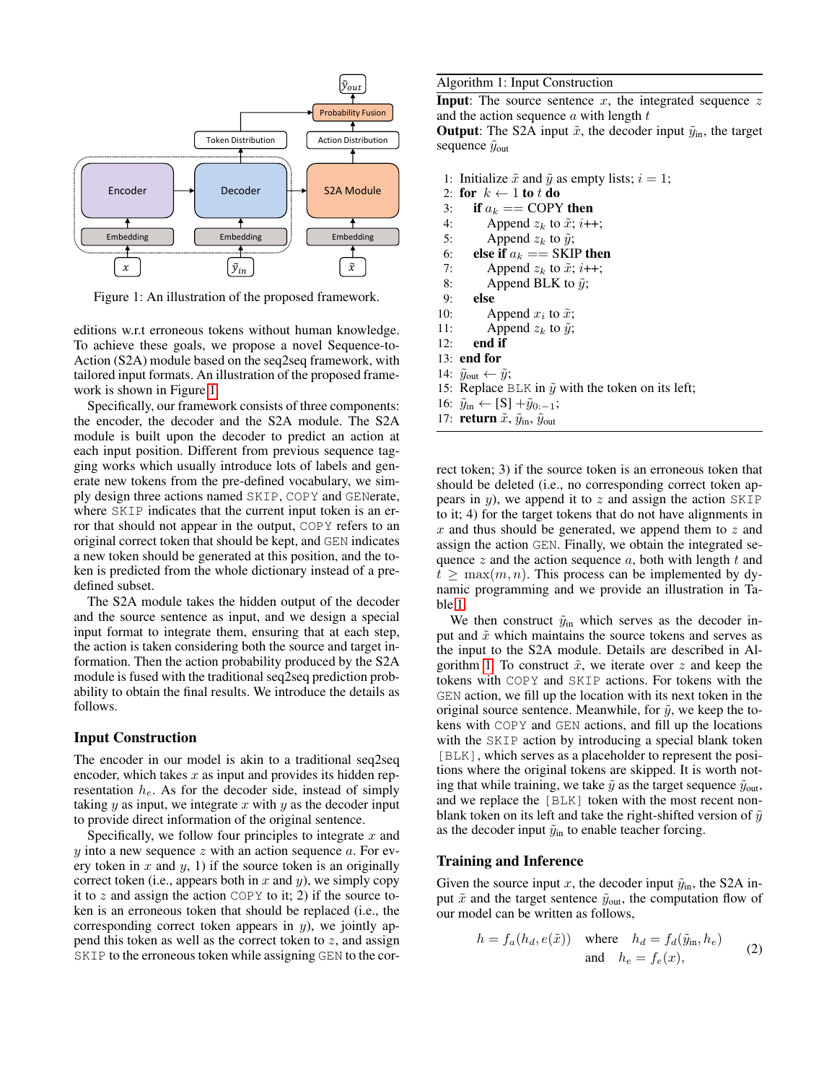<span id="page-2-0"></span>

Figure 1: An illustration of the proposed framework.

editions w.r.t erroneous tokens without human knowledge. To achieve these goals, we propose a novel Sequence-to-Action (S2A) module based on the seq2seq framework, with tailored input formats. An illustration of the proposed framework is shown in Figure [1.](#page-2-0)

Specifically, our framework consists of three components: the encoder, the decoder and the S2A module. The S2A module is built upon the decoder to predict an action at each input position. Different from previous sequence tagging works which usually introduce lots of labels and generate new tokens from the pre-defined vocabulary, we simply design three actions named SKIP, COPY and GENerate, where SKIP indicates that the current input token is an error that should not appear in the output, COPY refers to an original correct token that should be kept, and GEN indicates a new token should be generated at this position, and the token is predicted from the whole dictionary instead of a predefined subset.

The S2A module takes the hidden output of the decoder and the source sentence as input, and we design a special input format to integrate them, ensuring that at each step, the action is taken considering both the source and target information. Then the action probability produced by the S2A module is fused with the traditional seq2seq prediction probability to obtain the final results. We introduce the details as follows.

# Input Construction

The encoder in our model is akin to a traditional seq2seq encoder, which takes  $x$  as input and provides its hidden representation  $h_e$ . As for the decoder side, instead of simply taking  $y$  as input, we integrate  $x$  with  $y$  as the decoder input to provide direct information of the original sentence.

Specifically, we follow four principles to integrate  $x$  and  $y$  into a new sequence  $z$  with an action sequence  $a$ . For every token in  $x$  and  $y$ , 1) if the source token is an originally correct token (i.e., appears both in  $x$  and  $y$ ), we simply copy it to z and assign the action COPY to it; 2) if the source token is an erroneous token that should be replaced (i.e., the corresponding correct token appears in  $y$ ), we jointly append this token as well as the correct token to  $z$ , and assign SKIP to the erroneous token while assigning GEN to the cor-

#### <span id="page-2-1"></span>Algorithm 1: Input Construction

**Input:** The source sentence  $x$ , the integrated sequence  $z$ and the action sequence  $a$  with length  $t$ 

**Output:** The S2A input  $\tilde{x}$ , the decoder input  $\tilde{y}_{in}$ , the target sequence  $\tilde{y}_{\text{out}}$ 

- 1: Initialize  $\tilde{x}$  and  $\tilde{y}$  as empty lists;  $i = 1$ ;
- 2: for  $k \leftarrow 1$  to t do
- 3: if  $a_k == \text{COPY}$  then<br>4: Append  $z_k$  to  $\tilde{x}$ ;  $i+1$
- 4: Append  $z_k$  to  $\tilde{x}$ ;  $i$ ++;<br>5: Append  $z_k$  to  $\tilde{y}$ ;
- Append  $z_k$  to  $\tilde{y}$ ;
- 
- 6: **else if**  $a_k ==$  SKIP then<br>7: Append  $z_k$  to  $\tilde{x}$ ;  $i++$ ; Append  $z_k$  to  $\tilde{x}$ ; i++;
- 8: Append BLK to  $\tilde{y}$ ;
- 9: else
- 10: Append  $x_i$  to  $\tilde{x}$ ;
- 11: Append  $z_k$  to  $\tilde{y}$ ;
- 12: end if
- 13: end for
- 14:  $\tilde{y}_{\text{out}} \leftarrow \tilde{y}$ ;
- 15: Replace BLK in  $\tilde{y}$  with the token on its left;
- 16:  $\tilde{y}_{in}$  ← [S] + $\tilde{y}_{0:-1}$ ;
- 17: **return**  $\tilde{x}$ ,  $\tilde{y}_{in}$ ,  $\tilde{y}_{out}$

rect token; 3) if the source token is an erroneous token that should be deleted (i.e., no corresponding correct token appears in  $y$ ), we append it to  $z$  and assign the action SKIP to it; 4) for the target tokens that do not have alignments in  $x$  and thus should be generated, we append them to  $z$  and assign the action GEN. Finally, we obtain the integrated sequence z and the action sequence  $a$ , both with length  $t$  and  $t \geq \max(m, n)$ . This process can be implemented by dynamic programming and we provide an illustration in Table [1.](#page-3-0)

We then construct  $\tilde{y}_{in}$  which serves as the decoder input and  $\tilde{x}$  which maintains the source tokens and serves as the input to the S2A module. Details are described in Al-gorithm [1.](#page-2-1) To construct  $\tilde{x}$ , we iterate over z and keep the tokens with COPY and SKIP actions. For tokens with the GEN action, we fill up the location with its next token in the original source sentence. Meanwhile, for  $\tilde{y}$ , we keep the tokens with COPY and GEN actions, and fill up the locations with the SKIP action by introducing a special blank token [BLK], which serves as a placeholder to represent the positions where the original tokens are skipped. It is worth noting that while training, we take  $\tilde{y}$  as the target sequence  $\tilde{y}_{\text{out}}$ , and we replace the [BLK] token with the most recent nonblank token on its left and take the right-shifted version of  $\tilde{y}$ as the decoder input  $\tilde{y}_{in}$  to enable teacher forcing.

#### Training and Inference

Given the source input x, the decoder input  $\tilde{y}_{in}$ , the S2A input  $\tilde{x}$  and the target sentence  $\tilde{y}_{\text{out}}$ , the computation flow of our model can be written as follows,

$$
h = f_a(h_d, e(\tilde{x})) \quad \text{where} \quad h_d = f_d(\tilde{y}_{\text{in}}, h_e) \tag{2}
$$
  
and 
$$
h_e = f_e(x), \tag{2}
$$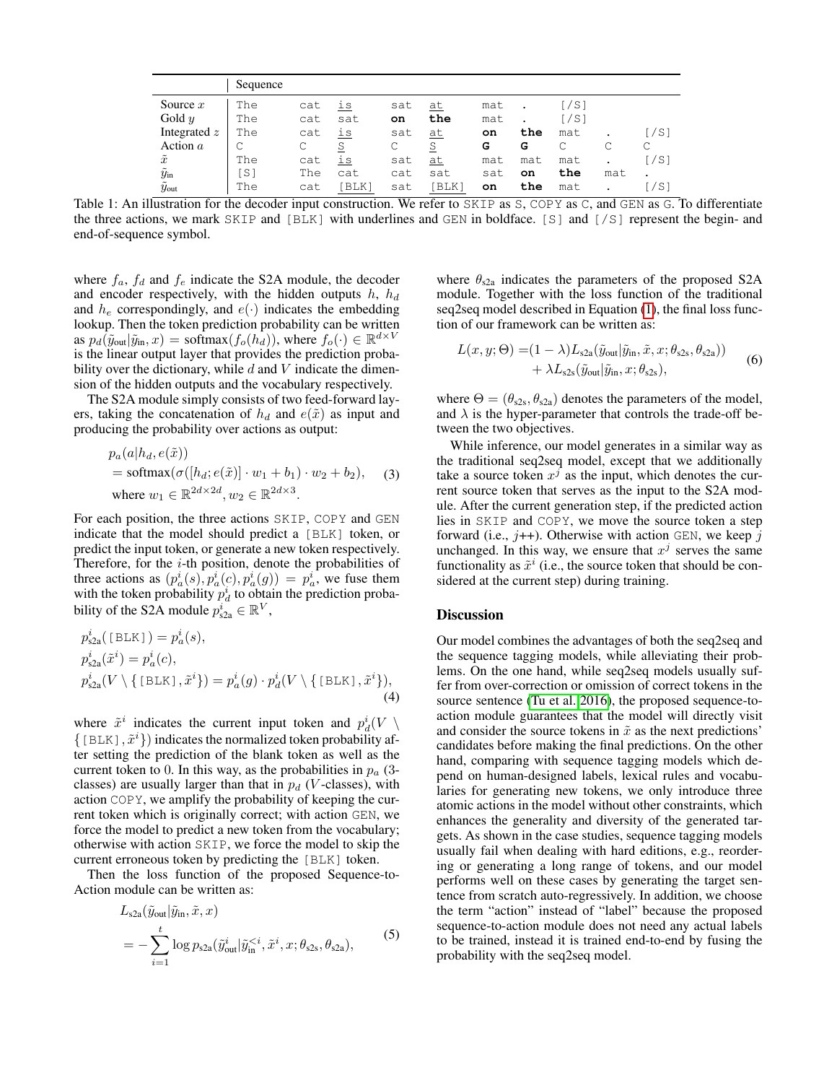<span id="page-3-0"></span>

|                          | Sequence |     |       |     |       |     |     |      |     |      |
|--------------------------|----------|-----|-------|-----|-------|-----|-----|------|-----|------|
| Source $x$               | The      | cat | is    | sat | at    | mat |     | [/S] |     |      |
| Gold $y$                 | The      | cat | sat   | on  | the   | mat |     | [/S] |     |      |
| Integrated $z$           | The      | cat | is    | sat | at    | on  | the | mat  |     | [/S] |
| Action $a$               |          | С   | S     | С   | S     | G   | G   | C    |     | С    |
| $\tilde{x}$              | The      | cat | is    | sat | at    | mat | mat | mat  |     | [/S] |
| $\tilde{y}_{\rm in}$     | [S]      | The | cat   | cat | sat   | sat | on  | the  | mat |      |
| $\tilde{y}_{\text{out}}$ | The      | cat | [BLK] | sat | [BLK] | on  | the | mat  |     | [/S] |

Table 1: An illustration for the decoder input construction. We refer to SKIP as S, COPY as C, and GEN as G. To differentiate the three actions, we mark SKIP and [BLK] with underlines and GEN in boldface. [S] and [/S] represent the begin- and end-of-sequence symbol.

where  $f_a$ ,  $f_d$  and  $f_e$  indicate the S2A module, the decoder and encoder respectively, with the hidden outputs  $h, h_d$ and  $h_e$  correspondingly, and  $e(\cdot)$  indicates the embedding lookup. Then the token prediction probability can be written as  $p_d(\tilde{y}_{\text{out}}|\tilde{y}_{\text{in}},x) = \text{softmax}(f_o(h_d)),$  where  $f_o(\cdot) \in \mathbb{R}^{d \times V}$ is the linear output layer that provides the prediction probability over the dictionary, while  $d$  and  $V$  indicate the dimension of the hidden outputs and the vocabulary respectively.

The S2A module simply consists of two feed-forward layers, taking the concatenation of  $h_d$  and  $e(\tilde{x})$  as input and producing the probability over actions as output:

$$
p_a(a|h_d, e(\tilde{x}))
$$
  
= softmax $(\sigma([h_d; e(\tilde{x})] \cdot w_1 + b_1) \cdot w_2 + b_2)$ , (3)  
where  $w_1 \in \mathbb{R}^{2d \times 2d}$ ,  $w_2 \in \mathbb{R}^{2d \times 3}$ .

For each position, the three actions SKIP, COPY and GEN indicate that the model should predict a [BLK] token, or predict the input token, or generate a new token respectively. Therefore, for the *i*-th position, denote the probabilities of three actions as  $(p_a^i(s), p_a^i(c), p_a^i(g)) = p_a^i$ , we fuse them with the token probability  $p_d^i$  to obtain the prediction probability of the S2A module  $p_{s2a}^i \in \mathbb{R}^V$ ,

$$
p_{s2a}^i([BLK]) = p_a^i(s),
$$
  
\n
$$
p_{s2a}^i(\tilde{x}^i) = p_a^i(c),
$$
  
\n
$$
p_{s2a}^i(V \setminus \{ [BLK], \tilde{x}^i\}) = p_a^i(g) \cdot p_d^i(V \setminus \{ [BLK], \tilde{x}^i\}),
$$
  
\n(4)

where  $\tilde{x}^i$  indicates the current input token and  $p_d^i(V \setminus$  $\{ [BLK], \tilde{x}^i \}$  indicates the normalized token probability after setting the prediction of the blank token as well as the current token to 0. In this way, as the probabilities in  $p_a$  (3classes) are usually larger than that in  $p_d$  (*V*-classes), with action COPY, we amplify the probability of keeping the current token which is originally correct; with action GEN, we force the model to predict a new token from the vocabulary; otherwise with action SKIP, we force the model to skip the current erroneous token by predicting the [BLK] token.

Then the loss function of the proposed Sequence-to-Action module can be written as:

$$
L_{s2a}(\tilde{y}_{\text{out}}|\tilde{y}_{\text{in}}, \tilde{x}, x)
$$
  
= 
$$
-\sum_{i=1}^{t} \log p_{s2a}(\tilde{y}_{\text{out}}^{i}|\tilde{y}_{\text{in}}^{ (5)
$$

where  $\theta_{s2a}$  indicates the parameters of the proposed S2A module. Together with the loss function of the traditional seq2seq model described in Equation [\(1\)](#page-1-0), the final loss function of our framework can be written as:

<span id="page-3-1"></span>
$$
L(x, y; \Theta) = (1 - \lambda) L_{s2a}(\tilde{y}_{out} | \tilde{y}_{in}, \tilde{x}, x; \theta_{s2s}, \theta_{s2a})) + \lambda L_{s2s}(\tilde{y}_{out} | \tilde{y}_{in}, x; \theta_{s2s}),
$$
 (6)

where  $\Theta = (\theta_{s2s}, \theta_{s2a})$  denotes the parameters of the model, and  $\lambda$  is the hyper-parameter that controls the trade-off between the two objectives.

While inference, our model generates in a similar way as the traditional seq2seq model, except that we additionally take a source token  $x^j$  as the input, which denotes the current source token that serves as the input to the S2A module. After the current generation step, if the predicted action lies in SKIP and COPY, we move the source token a step forward (i.e.,  $j+$ ). Otherwise with action GEN, we keep j unchanged. In this way, we ensure that  $x<sup>j</sup>$  serves the same functionality as  $\tilde{x}^i$  (i.e., the source token that should be considered at the current step) during training.

### **Discussion**

Our model combines the advantages of both the seq2seq and the sequence tagging models, while alleviating their problems. On the one hand, while seq2seq models usually suffer from over-correction or omission of correct tokens in the source sentence [\(Tu et al. 2016\)](#page-8-1), the proposed sequence-toaction module guarantees that the model will directly visit and consider the source tokens in  $\tilde{x}$  as the next predictions' candidates before making the final predictions. On the other hand, comparing with sequence tagging models which depend on human-designed labels, lexical rules and vocabularies for generating new tokens, we only introduce three atomic actions in the model without other constraints, which enhances the generality and diversity of the generated targets. As shown in the case studies, sequence tagging models usually fail when dealing with hard editions, e.g., reordering or generating a long range of tokens, and our model performs well on these cases by generating the target sentence from scratch auto-regressively. In addition, we choose the term "action" instead of "label" because the proposed sequence-to-action module does not need any actual labels to be trained, instead it is trained end-to-end by fusing the probability with the seq2seq model.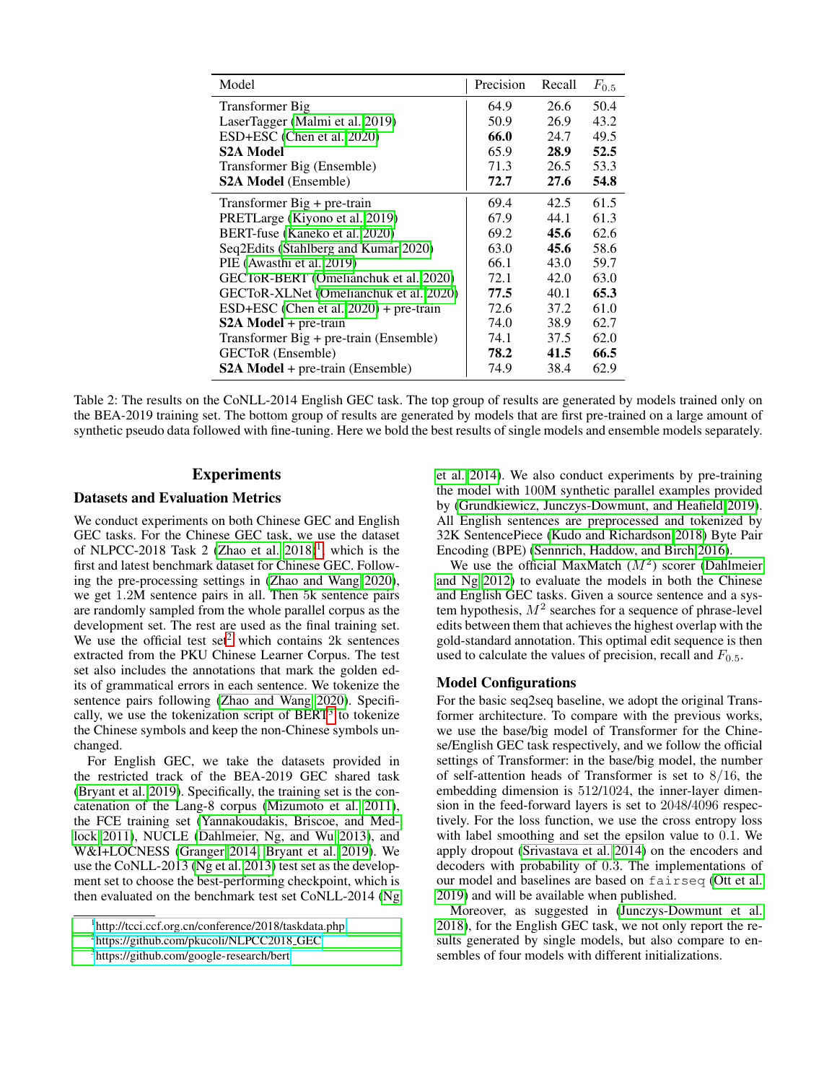<span id="page-4-3"></span>

| Model                                    | Precision | Recall | $F_{0.5}$ |
|------------------------------------------|-----------|--------|-----------|
| Transformer Big                          | 64.9      | 26.6   | 50.4      |
| LaserTagger (Malmi et al. 2019)          | 50.9      | 26.9   | 43.2      |
| ESD+ESC (Chen et al. 2020)               | 66.0      | 24.7   | 49.5      |
| <b>S2A Model</b>                         | 65.9      | 28.9   | 52.5      |
| Transformer Big (Ensemble)               | 71.3      | 26.5   | 53.3      |
| <b>S2A Model</b> (Ensemble)              | 72.7      | 27.6   | 54.8      |
| Transformer $Big + pre-train$            | 69.4      | 42.5   | 61.5      |
| PRETLarge (Kiyono et al. 2019)           | 67.9      | 44.1   | 61.3      |
| BERT-fuse (Kaneko et al. 2020)           | 69.2      | 45.6   | 62.6      |
| Seq2Edits (Stahlberg and Kumar 2020)     | 63.0      | 45.6   | 58.6      |
| PIE (Awasthi et al. 2019)                | 66.1      | 43.0   | 59.7      |
| GECToR-BERT (Omelianchuk et al. 2020)    | 72.1      | 42.0   | 63.0      |
| GECToR-XLNet (Omelianchuk et al. 2020)   | 77.5      | 40.1   | 65.3      |
| $ESD+ESC$ (Chen et al. 2020) + pre-train | 72.6      | 37.2   | 61.0      |
| $S2A Model + pre-train$                  | 74.0      | 38.9   | 62.7      |
| Transformer Big + pre-train (Ensemble)   | 74.1      | 37.5   | 62.0      |
| GECToR (Ensemble)                        | 78.2      | 41.5   | 66.5      |
| <b>S2A Model</b> + pre-train (Ensemble)  | 74.9      | 38.4   | 62.9      |

Table 2: The results on the CoNLL-2014 English GEC task. The top group of results are generated by models trained only on the BEA-2019 training set. The bottom group of results are generated by models that are first pre-trained on a large amount of synthetic pseudo data followed with fine-tuning. Here we bold the best results of single models and ensemble models separately.

# **Experiments**

# Datasets and Evaluation Metrics

We conduct experiments on both Chinese GEC and English GEC tasks. For the Chinese GEC task, we use the dataset of NLPCC-20[1](#page-4-0)8 Task 2 (Zhao et al.  $2018$ )<sup>1</sup>, which is the first and latest benchmark dataset for Chinese GEC. Following the pre-processing settings in [\(Zhao and Wang 2020\)](#page-8-4), we get 1.2M sentence pairs in all. Then 5k sentence pairs are randomly sampled from the whole parallel corpus as the development set. The rest are used as the final training set. We use the official test set<sup>[2](#page-4-1)</sup> which contains 2k sentences extracted from the PKU Chinese Learner Corpus. The test set also includes the annotations that mark the golden edits of grammatical errors in each sentence. We tokenize the sentence pairs following [\(Zhao and Wang 2020\)](#page-8-4). Specifically, we use the tokenization script of  $BERT<sup>3</sup>$  $BERT<sup>3</sup>$  $BERT<sup>3</sup>$  to tokenize the Chinese symbols and keep the non-Chinese symbols unchanged.

For English GEC, we take the datasets provided in the restricted track of the BEA-2019 GEC shared task [\(Bryant et al. 2019\)](#page-7-2). Specifically, the training set is the concatenation of the Lang-8 corpus [\(Mizumoto et al. 2011\)](#page-7-12), the FCE training set [\(Yannakoudakis, Briscoe, and Med](#page-8-9)[lock 2011\)](#page-8-9), NUCLE [\(Dahlmeier, Ng, and Wu 2013\)](#page-7-13), and W&I+LOCNESS [\(Granger 2014;](#page-7-14) [Bryant et al. 2019\)](#page-7-2). We use the CoNLL-2013 [\(Ng et al. 2013\)](#page-8-10) test set as the development set to choose the best-performing checkpoint, which is then evaluated on the benchmark test set CoNLL-2014 [\(Ng](#page-8-11) [et al. 2014\)](#page-8-11). We also conduct experiments by pre-training the model with 100M synthetic parallel examples provided by [\(Grundkiewicz, Junczys-Dowmunt, and Heafield 2019\)](#page-7-7). All English sentences are preprocessed and tokenized by 32K SentencePiece [\(Kudo and Richardson 2018\)](#page-7-15) Byte Pair Encoding (BPE) [\(Sennrich, Haddow, and Birch 2016\)](#page-8-12).

We use the official MaxMatch  $(M^2)$  scorer [\(Dahlmeier](#page-7-16) [and Ng 2012\)](#page-7-16) to evaluate the models in both the Chinese and English GEC tasks. Given a source sentence and a system hypothesis,  $M^2$  searches for a sequence of phrase-level edits between them that achieves the highest overlap with the gold-standard annotation. This optimal edit sequence is then used to calculate the values of precision, recall and  $F_{0.5}$ .

#### Model Configurations

For the basic seq2seq baseline, we adopt the original Transformer architecture. To compare with the previous works, we use the base/big model of Transformer for the Chinese/English GEC task respectively, and we follow the official settings of Transformer: in the base/big model, the number of self-attention heads of Transformer is set to 8/16, the embedding dimension is 512/1024, the inner-layer dimension in the feed-forward layers is set to 2048/4096 respectively. For the loss function, we use the cross entropy loss with label smoothing and set the epsilon value to 0.1. We apply dropout [\(Srivastava et al. 2014\)](#page-8-13) on the encoders and decoders with probability of 0.3. The implementations of our model and baselines are based on fairseq [\(Ott et al.](#page-8-14) [2019\)](#page-8-14) and will be available when published.

Moreover, as suggested in [\(Junczys-Dowmunt et al.](#page-7-17) [2018\)](#page-7-17), for the English GEC task, we not only report the results generated by single models, but also compare to ensembles of four models with different initializations.

<span id="page-4-0"></span><sup>1</sup> [http://tcci.ccf.org.cn/conference/2018/taskdata.php](#page-8-11)

<span id="page-4-1"></span><sup>&</sup>lt;sup>2</sup>[https://github.com/pkucoli/NLPCC2018](#page-8-11)\_GEC

<span id="page-4-2"></span><sup>3</sup> [https://github.com/google-research/bert](#page-8-11)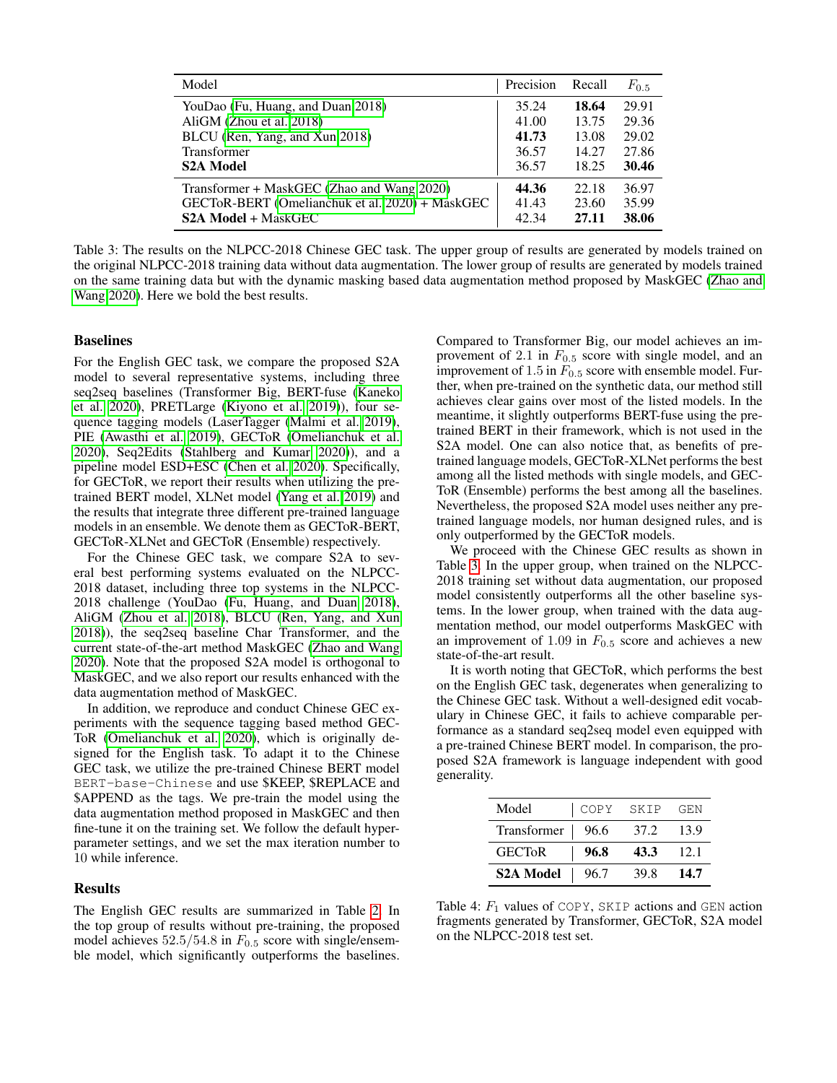<span id="page-5-0"></span>

| Model                                           | Precision | Recall | $F_{0.5}$ |
|-------------------------------------------------|-----------|--------|-----------|
| YouDao (Fu, Huang, and Duan 2018)               | 35.24     | 18.64  | 29.91     |
| AliGM (Zhou et al. 2018)                        | 41.00     | 13.75  | 29.36     |
| BLCU (Ren, Yang, and Xun 2018)                  | 41.73     | 13.08  | 29.02     |
| Transformer                                     | 36.57     | 14.27  | 27.86     |
| <b>S2A Model</b>                                | 36.57     | 18.25  | 30.46     |
| Transformer + MaskGEC (Zhao and Wang 2020)      | 44.36     | 22.18  | 36.97     |
| GECToR-BERT (Omelianchuk et al. 2020) + MaskGEC | 41.43     | 23.60  | 35.99     |
| <b>S2A Model + MaskGEC</b>                      | 42.34     | 27.11  | 38.06     |

Table 3: The results on the NLPCC-2018 Chinese GEC task. The upper group of results are generated by models trained on the original NLPCC-2018 training data without data augmentation. The lower group of results are generated by models trained on the same training data but with the dynamic masking based data augmentation method proposed by MaskGEC [\(Zhao and](#page-8-4) [Wang 2020\)](#page-8-4). Here we bold the best results.

# Baselines

For the English GEC task, we compare the proposed S2A model to several representative systems, including three seq2seq baselines (Transformer Big, BERT-fuse [\(Kaneko](#page-7-5) [et al. 2020\)](#page-7-5), PRETLarge [\(Kiyono et al. 2019\)](#page-7-9)), four sequence tagging models (LaserTagger [\(Malmi et al. 2019\)](#page-7-3), PIE [\(Awasthi et al. 2019\)](#page-7-4), GECToR [\(Omelianchuk et al.](#page-8-2) [2020\)](#page-8-2), Seq2Edits [\(Stahlberg and Kumar 2020\)](#page-8-3)), and a pipeline model ESD+ESC [\(Chen et al. 2020\)](#page-7-10). Specifically, for GECToR, we report their results when utilizing the pretrained BERT model, XLNet model [\(Yang et al. 2019\)](#page-8-17) and the results that integrate three different pre-trained language models in an ensemble. We denote them as GECToR-BERT, GECToR-XLNet and GECToR (Ensemble) respectively.

For the Chinese GEC task, we compare S2A to several best performing systems evaluated on the NLPCC-2018 dataset, including three top systems in the NLPCC-2018 challenge (YouDao [\(Fu, Huang, and Duan 2018\)](#page-7-18), AliGM [\(Zhou et al. 2018\)](#page-8-15), BLCU [\(Ren, Yang, and Xun](#page-8-16) [2018\)](#page-8-16)), the seq2seq baseline Char Transformer, and the current state-of-the-art method MaskGEC [\(Zhao and Wang](#page-8-4) [2020\)](#page-8-4). Note that the proposed S2A model is orthogonal to MaskGEC, and we also report our results enhanced with the data augmentation method of MaskGEC.

In addition, we reproduce and conduct Chinese GEC experiments with the sequence tagging based method GEC-ToR [\(Omelianchuk et al. 2020\)](#page-8-2), which is originally designed for the English task. To adapt it to the Chinese GEC task, we utilize the pre-trained Chinese BERT model BERT-base-Chinese and use \$KEEP, \$REPLACE and \$APPEND as the tags. We pre-train the model using the data augmentation method proposed in MaskGEC and then fine-tune it on the training set. We follow the default hyperparameter settings, and we set the max iteration number to 10 while inference.

#### **Results**

The English GEC results are summarized in Table [2.](#page-4-3) In the top group of results without pre-training, the proposed model achieves  $52.5/54.8$  in  $F_{0.5}$  score with single/ensemble model, which significantly outperforms the baselines.

Compared to Transformer Big, our model achieves an improvement of 2.1 in  $F_{0.5}$  score with single model, and an improvement of 1.5 in  $F_{0.5}$  score with ensemble model. Further, when pre-trained on the synthetic data, our method still achieves clear gains over most of the listed models. In the meantime, it slightly outperforms BERT-fuse using the pretrained BERT in their framework, which is not used in the S2A model. One can also notice that, as benefits of pretrained language models, GECToR-XLNet performs the best among all the listed methods with single models, and GEC-ToR (Ensemble) performs the best among all the baselines. Nevertheless, the proposed S2A model uses neither any pretrained language models, nor human designed rules, and is only outperformed by the GECToR models.

We proceed with the Chinese GEC results as shown in Table [3.](#page-5-0) In the upper group, when trained on the NLPCC-2018 training set without data augmentation, our proposed model consistently outperforms all the other baseline systems. In the lower group, when trained with the data augmentation method, our model outperforms MaskGEC with an improvement of 1.09 in  $F_{0.5}$  score and achieves a new state-of-the-art result.

It is worth noting that GECToR, which performs the best on the English GEC task, degenerates when generalizing to the Chinese GEC task. Without a well-designed edit vocabulary in Chinese GEC, it fails to achieve comparable performance as a standard seq2seq model even equipped with a pre-trained Chinese BERT model. In comparison, the proposed S2A framework is language independent with good generality.

<span id="page-5-1"></span>

| Model              | <b>COPY</b> | SKIP | GEN   |
|--------------------|-------------|------|-------|
| Transformer   96.6 |             | 37.2 | 13.9  |
| <b>GECTOR</b>      | 96.8        | 43.3 | -12.1 |
| <b>S2A Model</b>   | 96.7        | 39.8 | 14.7  |

Table 4:  $F_1$  values of COPY, SKIP actions and GEN action fragments generated by Transformer, GECToR, S2A model on the NLPCC-2018 test set.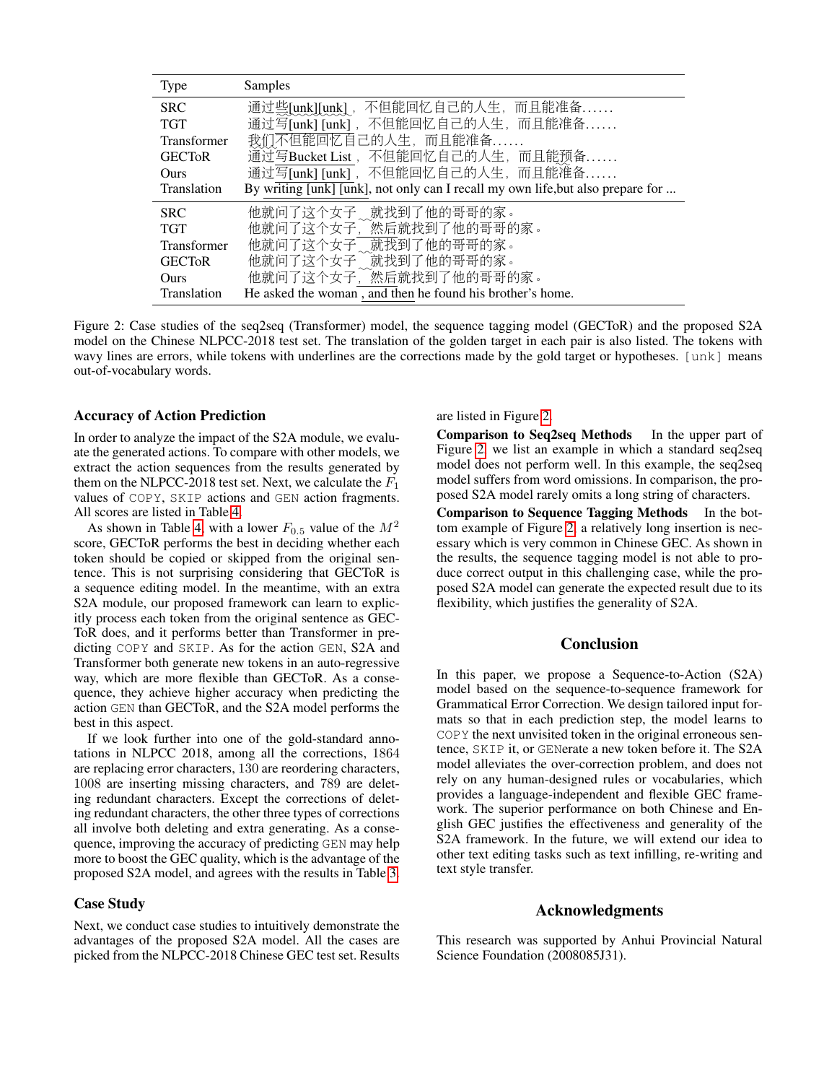<span id="page-6-0"></span>

| Type               | Samples                                                                         |
|--------------------|---------------------------------------------------------------------------------|
| <b>SRC</b>         | 通过些[unk][unk], 不但能回忆自己的人生, 而且能准备                                                |
| <b>TGT</b>         | 通过写[unk] [unk], 不但能回忆自己的人生, 而且能准备                                               |
| <b>Transformer</b> | 我们不但能回忆自己的人生, 而且能准备                                                             |
| <b>GECTOR</b>      | 通过写Bucket List, 不但能回忆自己的人生, 而且能预备                                               |
| <b>Ours</b>        | 通过写[unk] [unk], 不但能回忆自己的人生, 而且能准备                                               |
| <b>Translation</b> | By writing [unk] [unk], not only can I recall my own life, but also prepare for |
| <b>SRC</b>         | 他就问了这个女子、就找到了他的哥哥的家。                                                            |
| <b>TGT</b>         | 他就问了这个女子, 然后就找到了他的哥哥的家。                                                         |
| <b>Transformer</b> | 他就问了这个女子。就找到了他的哥哥的家。                                                            |
| <b>GECTOR</b>      | 他就问了这个女子意就找到了他的哥哥的家。                                                            |
| Ours               | 他就问了这个女子, 然后就找到了他的哥哥的家。                                                         |
| Translation        | He asked the woman, and then he found his brother's home.                       |

Figure 2: Case studies of the seq2seq (Transformer) model, the sequence tagging model (GECToR) and the proposed S2A model on the Chinese NLPCC-2018 test set. The translation of the golden target in each pair is also listed. The tokens with wavy lines are errors, while tokens with underlines are the corrections made by the gold target or hypotheses. [unk] means out-of-vocabulary words.

### Accuracy of Action Prediction

In order to analyze the impact of the S2A module, we evaluate the generated actions. To compare with other models, we extract the action sequences from the results generated by them on the NLPCC-2018 test set. Next, we calculate the  $F_1$ values of COPY, SKIP actions and GEN action fragments. All scores are listed in Table [4.](#page-5-1)

As shown in Table [4,](#page-5-1) with a lower  $F_{0.5}$  value of the  $M^2$ score, GECToR performs the best in deciding whether each token should be copied or skipped from the original sentence. This is not surprising considering that GECToR is a sequence editing model. In the meantime, with an extra S2A module, our proposed framework can learn to explicitly process each token from the original sentence as GEC-ToR does, and it performs better than Transformer in predicting COPY and SKIP. As for the action GEN, S2A and Transformer both generate new tokens in an auto-regressive way, which are more flexible than GECToR. As a consequence, they achieve higher accuracy when predicting the action GEN than GECToR, and the S2A model performs the best in this aspect.

If we look further into one of the gold-standard annotations in NLPCC 2018, among all the corrections, 1864 are replacing error characters, 130 are reordering characters, 1008 are inserting missing characters, and 789 are deleting redundant characters. Except the corrections of deleting redundant characters, the other three types of corrections all involve both deleting and extra generating. As a consequence, improving the accuracy of predicting GEN may help more to boost the GEC quality, which is the advantage of the proposed S2A model, and agrees with the results in Table [3.](#page-5-0)

# Case Study

Next, we conduct case studies to intuitively demonstrate the advantages of the proposed S2A model. All the cases are picked from the NLPCC-2018 Chinese GEC test set. Results

are listed in Figure [2.](#page-6-0)

Comparison to Seq2seq Methods In the upper part of Figure [2,](#page-6-0) we list an example in which a standard seq2seq model does not perform well. In this example, the seq2seq model suffers from word omissions. In comparison, the proposed S2A model rarely omits a long string of characters.

Comparison to Sequence Tagging Methods In the bottom example of Figure [2,](#page-6-0) a relatively long insertion is necessary which is very common in Chinese GEC. As shown in the results, the sequence tagging model is not able to produce correct output in this challenging case, while the proposed S2A model can generate the expected result due to its flexibility, which justifies the generality of S2A.

# Conclusion

In this paper, we propose a Sequence-to-Action (S2A) model based on the sequence-to-sequence framework for Grammatical Error Correction. We design tailored input formats so that in each prediction step, the model learns to COPY the next unvisited token in the original erroneous sentence, SKIP it, or GENerate a new token before it. The S2A model alleviates the over-correction problem, and does not rely on any human-designed rules or vocabularies, which provides a language-independent and flexible GEC framework. The superior performance on both Chinese and English GEC justifies the effectiveness and generality of the S2A framework. In the future, we will extend our idea to other text editing tasks such as text infilling, re-writing and text style transfer.

### Acknowledgments

This research was supported by Anhui Provincial Natural Science Foundation (2008085J31).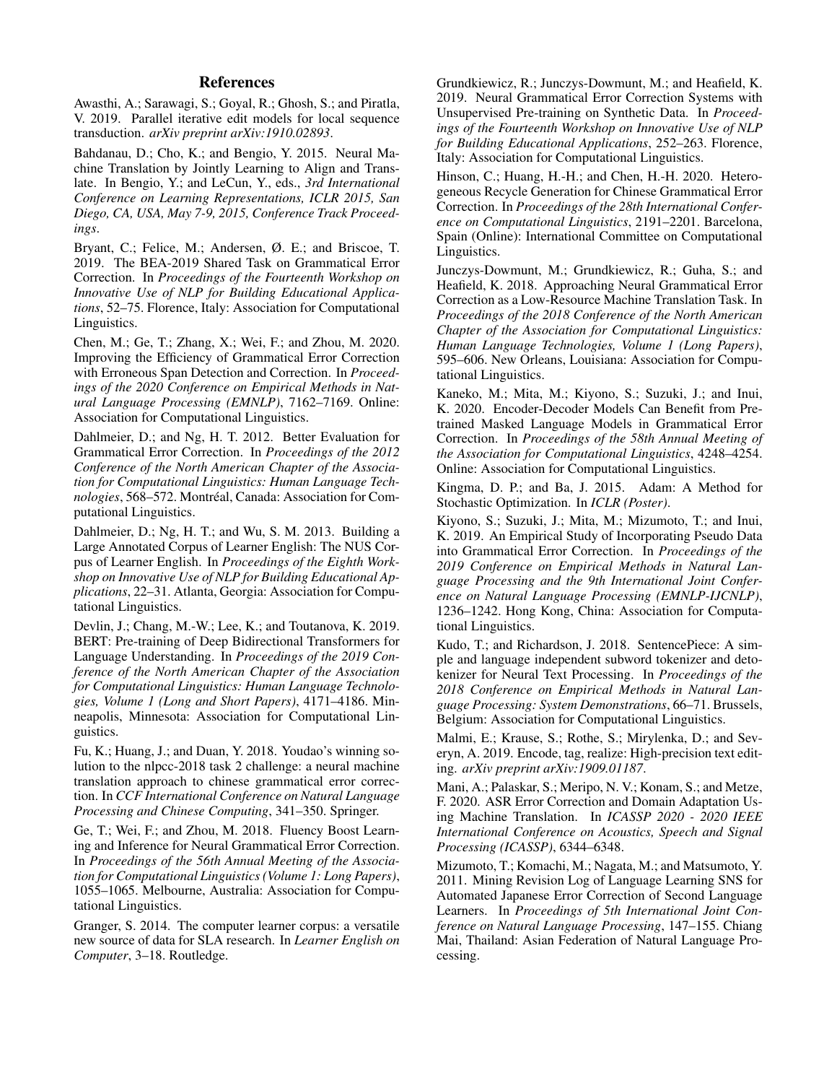# References

<span id="page-7-4"></span>Awasthi, A.; Sarawagi, S.; Goyal, R.; Ghosh, S.; and Piratla, V. 2019. Parallel iterative edit models for local sequence transduction. *arXiv preprint arXiv:1910.02893*.

<span id="page-7-1"></span>Bahdanau, D.; Cho, K.; and Bengio, Y. 2015. Neural Machine Translation by Jointly Learning to Align and Translate. In Bengio, Y.; and LeCun, Y., eds., *3rd International Conference on Learning Representations, ICLR 2015, San Diego, CA, USA, May 7-9, 2015, Conference Track Proceedings*.

<span id="page-7-2"></span>Bryant, C.; Felice, M.; Andersen, Ø. E.; and Briscoe, T. 2019. The BEA-2019 Shared Task on Grammatical Error Correction. In *Proceedings of the Fourteenth Workshop on Innovative Use of NLP for Building Educational Applications*, 52–75. Florence, Italy: Association for Computational Linguistics.

<span id="page-7-10"></span>Chen, M.; Ge, T.; Zhang, X.; Wei, F.; and Zhou, M. 2020. Improving the Efficiency of Grammatical Error Correction with Erroneous Span Detection and Correction. In *Proceedings of the 2020 Conference on Empirical Methods in Natural Language Processing (EMNLP)*, 7162–7169. Online: Association for Computational Linguistics.

<span id="page-7-16"></span>Dahlmeier, D.; and Ng, H. T. 2012. Better Evaluation for Grammatical Error Correction. In *Proceedings of the 2012 Conference of the North American Chapter of the Association for Computational Linguistics: Human Language Technologies*, 568-572. Montréal, Canada: Association for Computational Linguistics.

<span id="page-7-13"></span>Dahlmeier, D.; Ng, H. T.; and Wu, S. M. 2013. Building a Large Annotated Corpus of Learner English: The NUS Corpus of Learner English. In *Proceedings of the Eighth Workshop on Innovative Use of NLP for Building Educational Applications*, 22–31. Atlanta, Georgia: Association for Computational Linguistics.

<span id="page-7-6"></span>Devlin, J.; Chang, M.-W.; Lee, K.; and Toutanova, K. 2019. BERT: Pre-training of Deep Bidirectional Transformers for Language Understanding. In *Proceedings of the 2019 Conference of the North American Chapter of the Association for Computational Linguistics: Human Language Technologies, Volume 1 (Long and Short Papers)*, 4171–4186. Minneapolis, Minnesota: Association for Computational Linguistics.

<span id="page-7-18"></span>Fu, K.; Huang, J.; and Duan, Y. 2018. Youdao's winning solution to the nlpcc-2018 task 2 challenge: a neural machine translation approach to chinese grammatical error correction. In *CCF International Conference on Natural Language Processing and Chinese Computing*, 341–350. Springer.

<span id="page-7-8"></span>Ge, T.; Wei, F.; and Zhou, M. 2018. Fluency Boost Learning and Inference for Neural Grammatical Error Correction. In *Proceedings of the 56th Annual Meeting of the Association for Computational Linguistics (Volume 1: Long Papers)*, 1055–1065. Melbourne, Australia: Association for Computational Linguistics.

<span id="page-7-14"></span>Granger, S. 2014. The computer learner corpus: a versatile new source of data for SLA research. In *Learner English on Computer*, 3–18. Routledge.

<span id="page-7-7"></span>Grundkiewicz, R.; Junczys-Dowmunt, M.; and Heafield, K. 2019. Neural Grammatical Error Correction Systems with Unsupervised Pre-training on Synthetic Data. In *Proceedings of the Fourteenth Workshop on Innovative Use of NLP for Building Educational Applications*, 252–263. Florence, Italy: Association for Computational Linguistics.

<span id="page-7-11"></span>Hinson, C.; Huang, H.-H.; and Chen, H.-H. 2020. Heterogeneous Recycle Generation for Chinese Grammatical Error Correction. In *Proceedings of the 28th International Conference on Computational Linguistics*, 2191–2201. Barcelona, Spain (Online): International Committee on Computational Linguistics.

<span id="page-7-17"></span>Junczys-Dowmunt, M.; Grundkiewicz, R.; Guha, S.; and Heafield, K. 2018. Approaching Neural Grammatical Error Correction as a Low-Resource Machine Translation Task. In *Proceedings of the 2018 Conference of the North American Chapter of the Association for Computational Linguistics: Human Language Technologies, Volume 1 (Long Papers)*, 595–606. New Orleans, Louisiana: Association for Computational Linguistics.

<span id="page-7-5"></span>Kaneko, M.; Mita, M.; Kiyono, S.; Suzuki, J.; and Inui, K. 2020. Encoder-Decoder Models Can Benefit from Pretrained Masked Language Models in Grammatical Error Correction. In *Proceedings of the 58th Annual Meeting of the Association for Computational Linguistics*, 4248–4254. Online: Association for Computational Linguistics.

<span id="page-7-19"></span>Kingma, D. P.; and Ba, J. 2015. Adam: A Method for Stochastic Optimization. In *ICLR (Poster)*.

<span id="page-7-9"></span>Kiyono, S.; Suzuki, J.; Mita, M.; Mizumoto, T.; and Inui, K. 2019. An Empirical Study of Incorporating Pseudo Data into Grammatical Error Correction. In *Proceedings of the 2019 Conference on Empirical Methods in Natural Language Processing and the 9th International Joint Conference on Natural Language Processing (EMNLP-IJCNLP)*, 1236–1242. Hong Kong, China: Association for Computational Linguistics.

<span id="page-7-15"></span>Kudo, T.; and Richardson, J. 2018. SentencePiece: A simple and language independent subword tokenizer and detokenizer for Neural Text Processing. In *Proceedings of the 2018 Conference on Empirical Methods in Natural Language Processing: System Demonstrations*, 66–71. Brussels, Belgium: Association for Computational Linguistics.

<span id="page-7-3"></span>Malmi, E.; Krause, S.; Rothe, S.; Mirylenka, D.; and Severyn, A. 2019. Encode, tag, realize: High-precision text editing. *arXiv preprint arXiv:1909.01187*.

<span id="page-7-0"></span>Mani, A.; Palaskar, S.; Meripo, N. V.; Konam, S.; and Metze, F. 2020. ASR Error Correction and Domain Adaptation Using Machine Translation. In *ICASSP 2020 - 2020 IEEE International Conference on Acoustics, Speech and Signal Processing (ICASSP)*, 6344–6348.

<span id="page-7-12"></span>Mizumoto, T.; Komachi, M.; Nagata, M.; and Matsumoto, Y. 2011. Mining Revision Log of Language Learning SNS for Automated Japanese Error Correction of Second Language Learners. In *Proceedings of 5th International Joint Conference on Natural Language Processing*, 147–155. Chiang Mai, Thailand: Asian Federation of Natural Language Processing.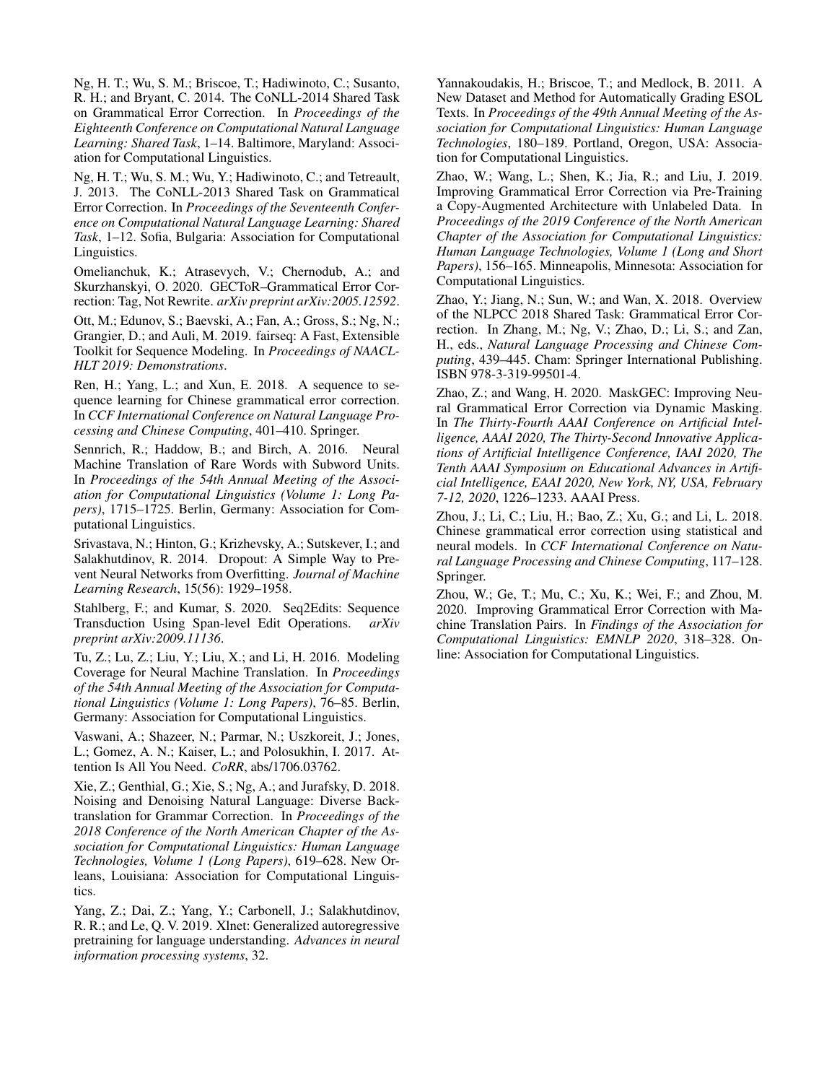<span id="page-8-11"></span>Ng, H. T.; Wu, S. M.; Briscoe, T.; Hadiwinoto, C.; Susanto, R. H.; and Bryant, C. 2014. The CoNLL-2014 Shared Task on Grammatical Error Correction. In *Proceedings of the Eighteenth Conference on Computational Natural Language Learning: Shared Task*, 1–14. Baltimore, Maryland: Association for Computational Linguistics.

<span id="page-8-10"></span>Ng, H. T.; Wu, S. M.; Wu, Y.; Hadiwinoto, C.; and Tetreault, J. 2013. The CoNLL-2013 Shared Task on Grammatical Error Correction. In *Proceedings of the Seventeenth Conference on Computational Natural Language Learning: Shared Task*, 1–12. Sofia, Bulgaria: Association for Computational Linguistics.

<span id="page-8-2"></span>Omelianchuk, K.; Atrasevych, V.; Chernodub, A.; and Skurzhanskyi, O. 2020. GECToR–Grammatical Error Correction: Tag, Not Rewrite. *arXiv preprint arXiv:2005.12592*.

<span id="page-8-14"></span>Ott, M.; Edunov, S.; Baevski, A.; Fan, A.; Gross, S.; Ng, N.; Grangier, D.; and Auli, M. 2019. fairseq: A Fast, Extensible Toolkit for Sequence Modeling. In *Proceedings of NAACL-HLT 2019: Demonstrations*.

<span id="page-8-16"></span>Ren, H.; Yang, L.; and Xun, E. 2018. A sequence to sequence learning for Chinese grammatical error correction. In *CCF International Conference on Natural Language Processing and Chinese Computing*, 401–410. Springer.

<span id="page-8-12"></span>Sennrich, R.; Haddow, B.; and Birch, A. 2016. Neural Machine Translation of Rare Words with Subword Units. In *Proceedings of the 54th Annual Meeting of the Association for Computational Linguistics (Volume 1: Long Papers)*, 1715–1725. Berlin, Germany: Association for Computational Linguistics.

<span id="page-8-13"></span>Srivastava, N.; Hinton, G.; Krizhevsky, A.; Sutskever, I.; and Salakhutdinov, R. 2014. Dropout: A Simple Way to Prevent Neural Networks from Overfitting. *Journal of Machine Learning Research*, 15(56): 1929–1958.

<span id="page-8-3"></span>Stahlberg, F.; and Kumar, S. 2020. Seq2Edits: Sequence Transduction Using Span-level Edit Operations. *arXiv preprint arXiv:2009.11136*.

<span id="page-8-1"></span>Tu, Z.; Lu, Z.; Liu, Y.; Liu, X.; and Li, H. 2016. Modeling Coverage for Neural Machine Translation. In *Proceedings of the 54th Annual Meeting of the Association for Computational Linguistics (Volume 1: Long Papers)*, 76–85. Berlin, Germany: Association for Computational Linguistics.

<span id="page-8-0"></span>Vaswani, A.; Shazeer, N.; Parmar, N.; Uszkoreit, J.; Jones, L.; Gomez, A. N.; Kaiser, L.; and Polosukhin, I. 2017. Attention Is All You Need. *CoRR*, abs/1706.03762.

<span id="page-8-6"></span>Xie, Z.; Genthial, G.; Xie, S.; Ng, A.; and Jurafsky, D. 2018. Noising and Denoising Natural Language: Diverse Backtranslation for Grammar Correction. In *Proceedings of the 2018 Conference of the North American Chapter of the Association for Computational Linguistics: Human Language Technologies, Volume 1 (Long Papers)*, 619–628. New Orleans, Louisiana: Association for Computational Linguistics.

<span id="page-8-17"></span>Yang, Z.; Dai, Z.; Yang, Y.; Carbonell, J.; Salakhutdinov, R. R.; and Le, Q. V. 2019. Xlnet: Generalized autoregressive pretraining for language understanding. *Advances in neural information processing systems*, 32.

<span id="page-8-9"></span>Yannakoudakis, H.; Briscoe, T.; and Medlock, B. 2011. A New Dataset and Method for Automatically Grading ESOL Texts. In *Proceedings of the 49th Annual Meeting of the Association for Computational Linguistics: Human Language Technologies*, 180–189. Portland, Oregon, USA: Association for Computational Linguistics.

<span id="page-8-5"></span>Zhao, W.; Wang, L.; Shen, K.; Jia, R.; and Liu, J. 2019. Improving Grammatical Error Correction via Pre-Training a Copy-Augmented Architecture with Unlabeled Data. In *Proceedings of the 2019 Conference of the North American Chapter of the Association for Computational Linguistics: Human Language Technologies, Volume 1 (Long and Short Papers)*, 156–165. Minneapolis, Minnesota: Association for Computational Linguistics.

<span id="page-8-8"></span>Zhao, Y.; Jiang, N.; Sun, W.; and Wan, X. 2018. Overview of the NLPCC 2018 Shared Task: Grammatical Error Correction. In Zhang, M.; Ng, V.; Zhao, D.; Li, S.; and Zan, H., eds., *Natural Language Processing and Chinese Computing*, 439–445. Cham: Springer International Publishing. ISBN 978-3-319-99501-4.

<span id="page-8-4"></span>Zhao, Z.; and Wang, H. 2020. MaskGEC: Improving Neural Grammatical Error Correction via Dynamic Masking. In *The Thirty-Fourth AAAI Conference on Artificial Intelligence, AAAI 2020, The Thirty-Second Innovative Applications of Artificial Intelligence Conference, IAAI 2020, The Tenth AAAI Symposium on Educational Advances in Artificial Intelligence, EAAI 2020, New York, NY, USA, February 7-12, 2020*, 1226–1233. AAAI Press.

<span id="page-8-15"></span>Zhou, J.; Li, C.; Liu, H.; Bao, Z.; Xu, G.; and Li, L. 2018. Chinese grammatical error correction using statistical and neural models. In *CCF International Conference on Natural Language Processing and Chinese Computing*, 117–128. Springer.

<span id="page-8-7"></span>Zhou, W.; Ge, T.; Mu, C.; Xu, K.; Wei, F.; and Zhou, M. 2020. Improving Grammatical Error Correction with Machine Translation Pairs. In *Findings of the Association for Computational Linguistics: EMNLP 2020*, 318–328. Online: Association for Computational Linguistics.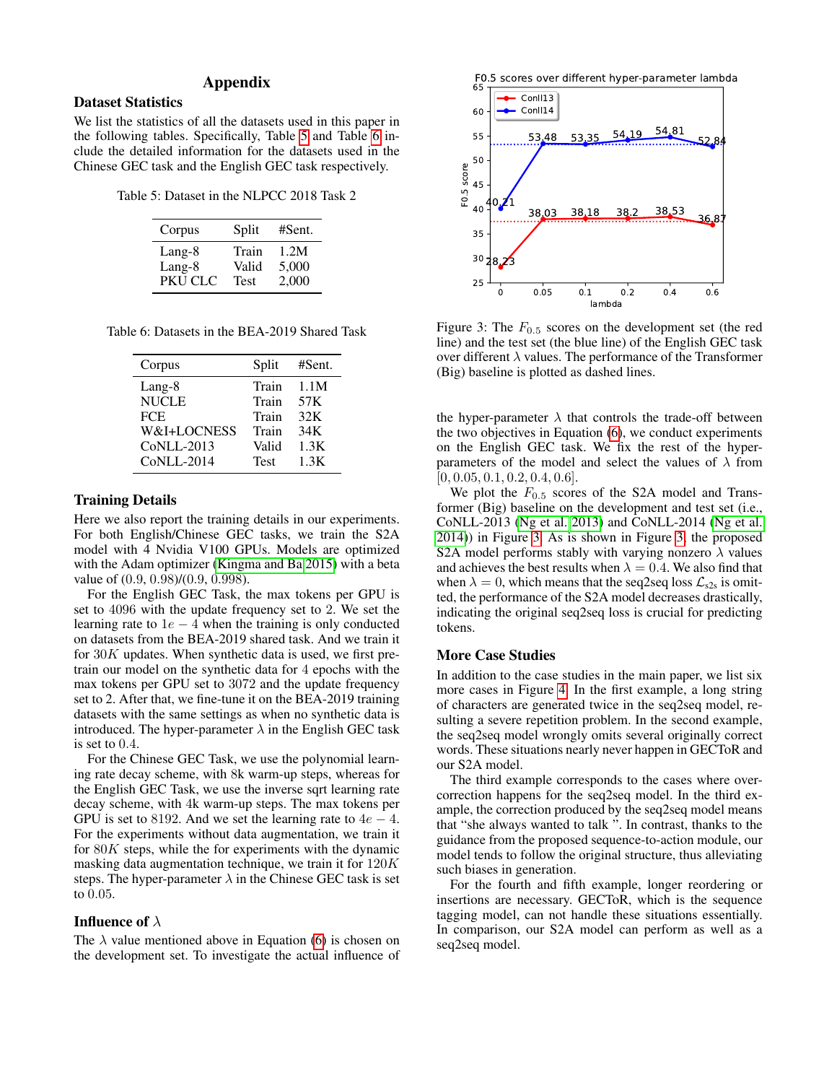# Appendix

# Dataset Statistics

We list the statistics of all the datasets used in this paper in the following tables. Specifically, Table [5](#page-9-0) and Table [6](#page-9-1) include the detailed information for the datasets used in the Chinese GEC task and the English GEC task respectively.

<span id="page-9-0"></span>Table 5: Dataset in the NLPCC 2018 Task 2

| Corpus  | Split       | #Sent. |
|---------|-------------|--------|
| Lang-8  | Train       | 1.2M   |
| Lang-8  | Valid       | 5,000  |
| PKU CLC | <b>Test</b> | 2,000  |

<span id="page-9-1"></span>Table 6: Datasets in the BEA-2019 Shared Task

| Corpus       | Split       | #Sent. |
|--------------|-------------|--------|
| Lang-8       | Train       | 1.1M   |
| <b>NUCLE</b> | Train       | 57K    |
| <b>FCE</b>   | Train       | 32K    |
| W&I+LOCNESS  | Train       | 34K    |
| $CoNLL-2013$ | Valid       | 1.3K   |
| $CoNLL-2014$ | <b>Test</b> | 1.3K   |

### Training Details

Here we also report the training details in our experiments. For both English/Chinese GEC tasks, we train the S2A model with 4 Nvidia V100 GPUs. Models are optimized with the Adam optimizer [\(Kingma and Ba 2015\)](#page-7-19) with a beta value of (0.9, 0.98)/(0.9, 0.998).

For the English GEC Task, the max tokens per GPU is set to 4096 with the update frequency set to 2. We set the learning rate to  $1e - 4$  when the training is only conducted on datasets from the BEA-2019 shared task. And we train it for  $30K$  updates. When synthetic data is used, we first pretrain our model on the synthetic data for 4 epochs with the max tokens per GPU set to 3072 and the update frequency set to 2. After that, we fine-tune it on the BEA-2019 training datasets with the same settings as when no synthetic data is introduced. The hyper-parameter  $\lambda$  in the English GEC task is set to 0.4.

For the Chinese GEC Task, we use the polynomial learning rate decay scheme, with 8k warm-up steps, whereas for the English GEC Task, we use the inverse sqrt learning rate decay scheme, with 4k warm-up steps. The max tokens per GPU is set to 8192. And we set the learning rate to  $4e - 4$ . For the experiments without data augmentation, we train it for  $80K$  steps, while the for experiments with the dynamic masking data augmentation technique, we train it for 120K steps. The hyper-parameter  $\lambda$  in the Chinese GEC task is set to 0.05.

# **Influence of**  $\lambda$

The  $\lambda$  value mentioned above in Equation [\(6\)](#page-3-1) is chosen on the development set. To investigate the actual influence of



<span id="page-9-2"></span>

Figure 3: The  $F_{0.5}$  scores on the development set (the red line) and the test set (the blue line) of the English GEC task over different  $\lambda$  values. The performance of the Transformer (Big) baseline is plotted as dashed lines.

the hyper-parameter  $\lambda$  that controls the trade-off between the two objectives in Equation [\(6\)](#page-3-1), we conduct experiments on the English GEC task. We fix the rest of the hyperparameters of the model and select the values of  $\lambda$  from  $[0, 0.05, 0.1, 0.2, 0.4, 0.6].$ 

We plot the  $F_{0.5}$  scores of the S2A model and Transformer (Big) baseline on the development and test set (i.e., CoNLL-2013 [\(Ng et al. 2013\)](#page-8-10) and CoNLL-2014 [\(Ng et al.](#page-8-11) [2014\)](#page-8-11)) in Figure [3.](#page-9-2) As is shown in Figure [3,](#page-9-2) the proposed S2A model performs stably with varying nonzero  $\lambda$  values and achieves the best results when  $\lambda = 0.4$ . We also find that when  $\lambda = 0$ , which means that the seq2seq loss  $\mathcal{L}_{s2s}$  is omitted, the performance of the S2A model decreases drastically, indicating the original seq2seq loss is crucial for predicting tokens.

#### More Case Studies

In addition to the case studies in the main paper, we list six more cases in Figure [4.](#page-10-0) In the first example, a long string of characters are generated twice in the seq2seq model, resulting a severe repetition problem. In the second example, the seq2seq model wrongly omits several originally correct words. These situations nearly never happen in GECToR and our S2A model.

The third example corresponds to the cases where overcorrection happens for the seq2seq model. In the third example, the correction produced by the seq2seq model means that "she always wanted to talk ". In contrast, thanks to the guidance from the proposed sequence-to-action module, our model tends to follow the original structure, thus alleviating such biases in generation.

For the fourth and fifth example, longer reordering or insertions are necessary. GECToR, which is the sequence tagging model, can not handle these situations essentially. In comparison, our S2A model can perform as well as a seq2seq model.